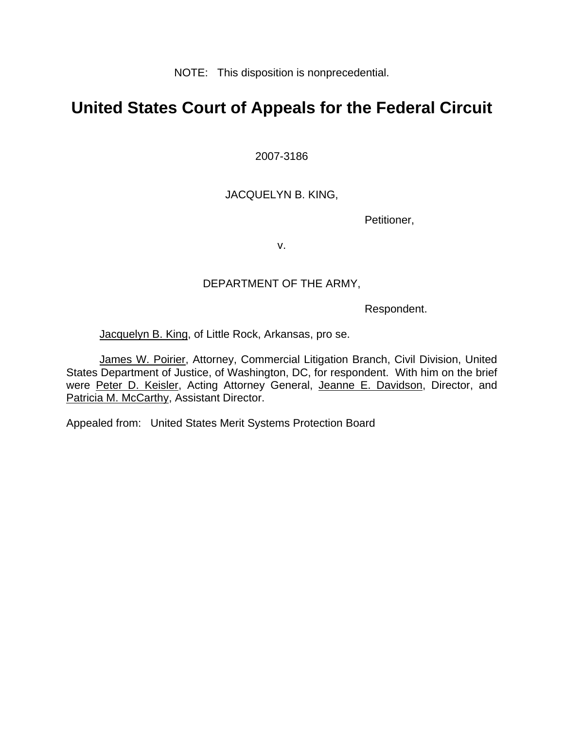NOTE: This disposition is nonprecedential.

# **United States Court of Appeals for the Federal Circuit**

2007-3186

JACQUELYN B. KING,

Petitioner,

v.

## DEPARTMENT OF THE ARMY,

Respondent.

Jacquelyn B. King, of Little Rock, Arkansas, pro se.

James W. Poirier, Attorney, Commercial Litigation Branch, Civil Division, United States Department of Justice, of Washington, DC, for respondent. With him on the brief were Peter D. Keisler, Acting Attorney General, Jeanne E. Davidson, Director, and Patricia M. McCarthy, Assistant Director.

Appealed from: United States Merit Systems Protection Board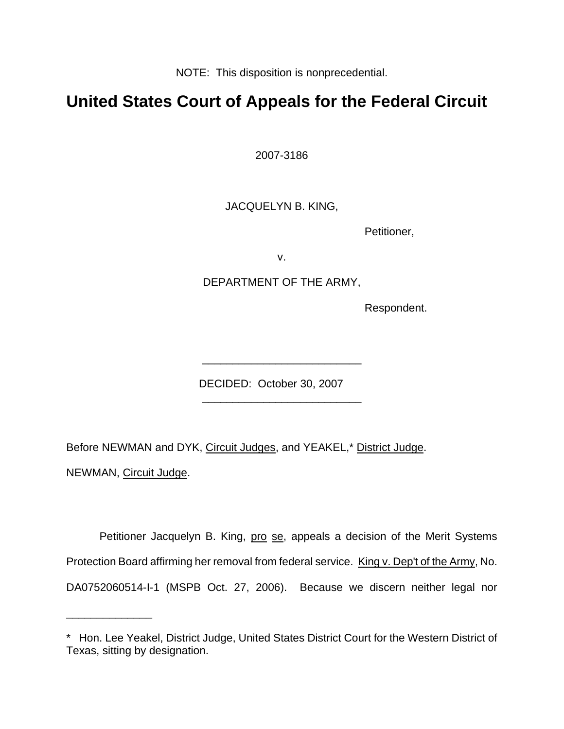NOTE: This disposition is nonprecedential.

# **United States Court of Appeals for the Federal Circuit**

2007-3186

JACQUELYN B. KING,

Petitioner,

v.

DEPARTMENT OF THE ARMY,

Respondent.

DECIDED: October 30, 2007

Before NEWMAN and DYK, Circuit Judges, and YEAKEL,\* District Judge.

 $\frac{1}{2}$  , and the set of the set of the set of the set of the set of the set of the set of the set of the set of the set of the set of the set of the set of the set of the set of the set of the set of the set of the set

\_\_\_\_\_\_\_\_\_\_\_\_\_\_\_\_\_\_\_\_\_\_\_\_\_\_

NEWMAN, Circuit Judge.

\_\_\_\_\_\_\_\_\_\_\_\_\_\_

Petitioner Jacquelyn B. King, pro se, appeals a decision of the Merit Systems Protection Board affirming her removal from federal service. King v. Dep't of the Army, No. DA0752060514-I-1 (MSPB Oct. 27, 2006). Because we discern neither legal nor

<sup>\*</sup> Hon. Lee Yeakel, District Judge, United States District Court for the Western District of Texas, sitting by designation.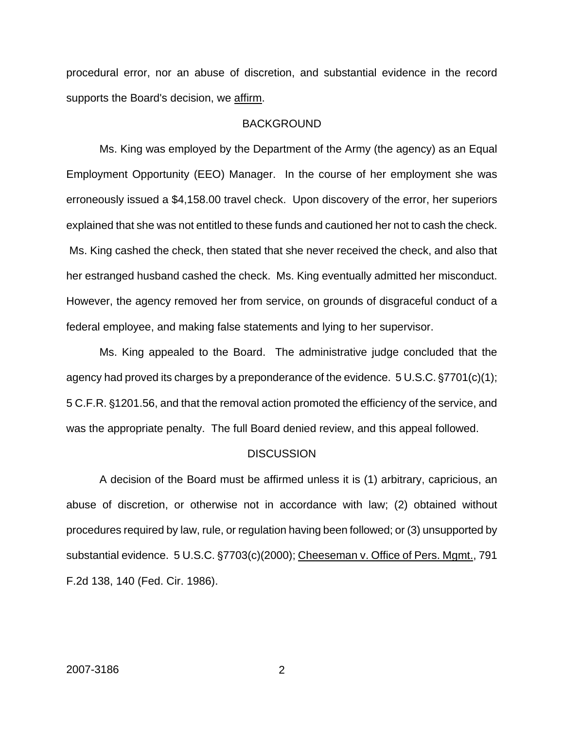procedural error, nor an abuse of discretion, and substantial evidence in the record supports the Board's decision, we affirm.

#### **BACKGROUND**

Ms. King was employed by the Department of the Army (the agency) as an Equal Employment Opportunity (EEO) Manager. In the course of her employment she was erroneously issued a \$4,158.00 travel check. Upon discovery of the error, her superiors explained that she was not entitled to these funds and cautioned her not to cash the check. Ms. King cashed the check, then stated that she never received the check, and also that her estranged husband cashed the check. Ms. King eventually admitted her misconduct. However, the agency removed her from service, on grounds of disgraceful conduct of a federal employee, and making false statements and lying to her supervisor.

Ms. King appealed to the Board. The administrative judge concluded that the agency had proved its charges by a preponderance of the evidence.  $5 \text{ U.S.C.}$   $\S7701(c)(1)$ ; 5 C.F.R. §1201.56, and that the removal action promoted the efficiency of the service, and was the appropriate penalty. The full Board denied review, and this appeal followed.

#### **DISCUSSION**

A decision of the Board must be affirmed unless it is (1) arbitrary, capricious, an abuse of discretion, or otherwise not in accordance with law; (2) obtained without procedures required by law, rule, or regulation having been followed; or (3) unsupported by substantial evidence. 5 U.S.C. §7703(c)(2000); Cheeseman v. Office of Pers. Mgmt., 791 F.2d 138, 140 (Fed. Cir. 1986).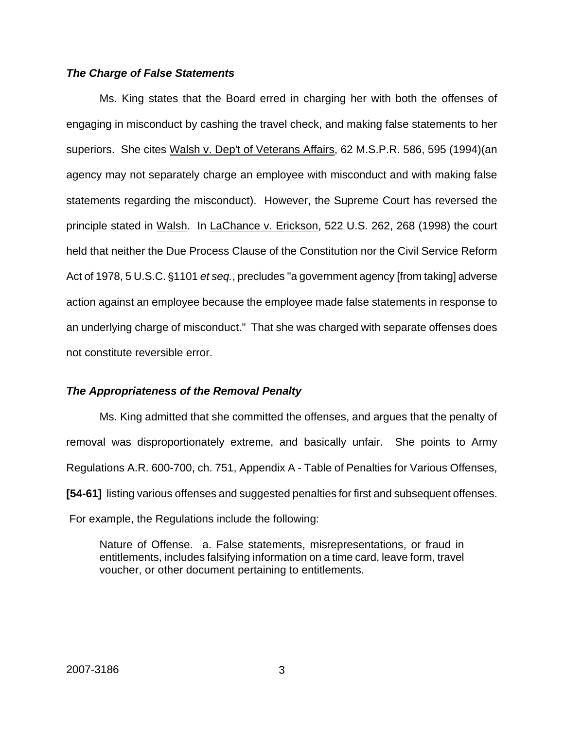### *The Charge of False Statements*

Ms. King states that the Board erred in charging her with both the offenses of engaging in misconduct by cashing the travel check, and making false statements to her superiors. She cites Walsh v. Dep't of Veterans Affairs, 62 M.S.P.R. 586, 595 (1994)(an agency may not separately charge an employee with misconduct and with making false statements regarding the misconduct). However, the Supreme Court has reversed the principle stated in Walsh. In LaChance v. Erickson, 522 U.S. 262, 268 (1998) the court held that neither the Due Process Clause of the Constitution nor the Civil Service Reform Act of 1978, 5 U.S.C. §1101 *et seq.*, precludes "a government agency [from taking] adverse action against an employee because the employee made false statements in response to an underlying charge of misconduct." That she was charged with separate offenses does not constitute reversible error.

### *The Appropriateness of the Removal Penalty*

Ms. King admitted that she committed the offenses, and argues that the penalty of removal was disproportionately extreme, and basically unfair. She points to Army Regulations A.R. 600-700, ch. 751, Appendix A - Table of Penalties for Various Offenses, **[54-61]** listing various offenses and suggested penalties for first and subsequent offenses. For example, the Regulations include the following:

Nature of Offense. a. False statements, misrepresentations, or fraud in entitlements, includes falsifying information on a time card, leave form, travel voucher, or other document pertaining to entitlements.